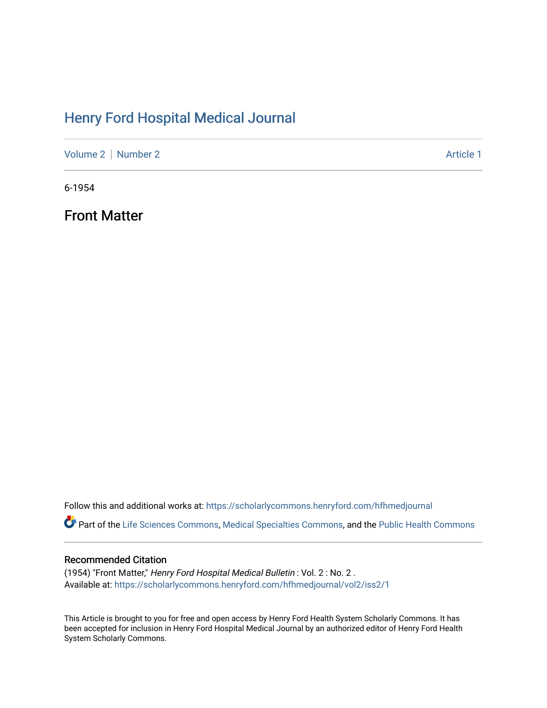# [Henry Ford Hospital Medical Journal](https://scholarlycommons.henryford.com/hfhmedjournal)

[Volume 2](https://scholarlycommons.henryford.com/hfhmedjournal/vol2) | [Number 2](https://scholarlycommons.henryford.com/hfhmedjournal/vol2/iss2) Article 1

6-1954

Front Matter

Follow this and additional works at: [https://scholarlycommons.henryford.com/hfhmedjournal](https://scholarlycommons.henryford.com/hfhmedjournal?utm_source=scholarlycommons.henryford.com%2Fhfhmedjournal%2Fvol2%2Fiss2%2F1&utm_medium=PDF&utm_campaign=PDFCoverPages)

Part of the [Life Sciences Commons,](http://network.bepress.com/hgg/discipline/1016?utm_source=scholarlycommons.henryford.com%2Fhfhmedjournal%2Fvol2%2Fiss2%2F1&utm_medium=PDF&utm_campaign=PDFCoverPages) [Medical Specialties Commons](http://network.bepress.com/hgg/discipline/680?utm_source=scholarlycommons.henryford.com%2Fhfhmedjournal%2Fvol2%2Fiss2%2F1&utm_medium=PDF&utm_campaign=PDFCoverPages), and the Public Health Commons

### Recommended Citation

(1954) "Front Matter," Henry Ford Hospital Medical Bulletin : Vol. 2 : No. 2 . Available at: [https://scholarlycommons.henryford.com/hfhmedjournal/vol2/iss2/1](https://scholarlycommons.henryford.com/hfhmedjournal/vol2/iss2/1?utm_source=scholarlycommons.henryford.com%2Fhfhmedjournal%2Fvol2%2Fiss2%2F1&utm_medium=PDF&utm_campaign=PDFCoverPages) 

This Article is brought to you for free and open access by Henry Ford Health System Scholarly Commons. It has been accepted for inclusion in Henry Ford Hospital Medical Journal by an authorized editor of Henry Ford Health System Scholarly Commons.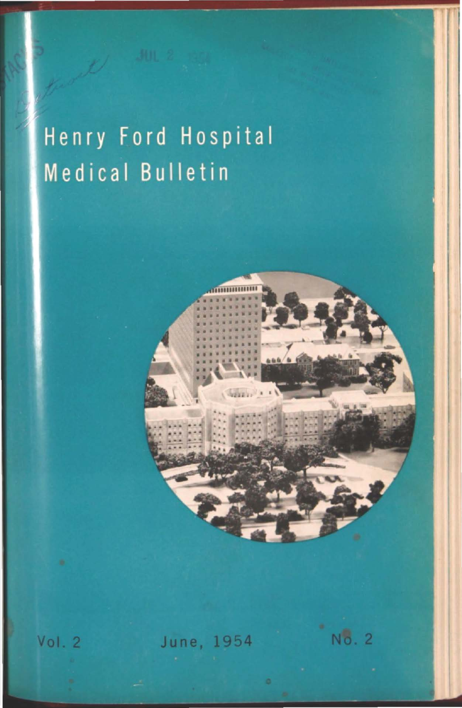# Henry Ford Hospital Medical Bulletin

No. 2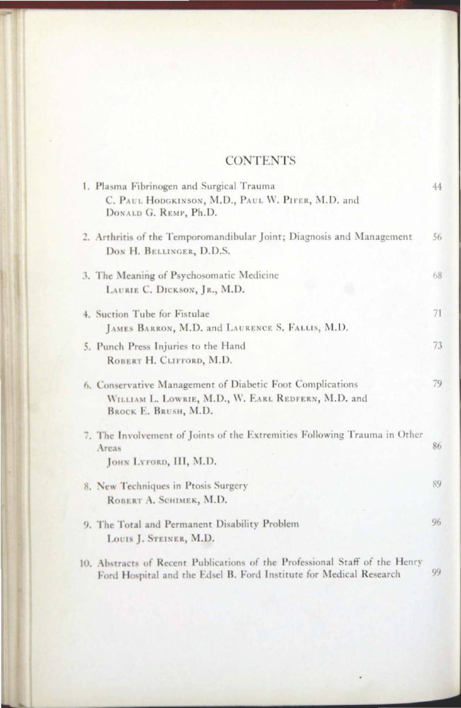#### **CONTENTS**

|  | 1. Plasma Fibrinogen and Surgical Trauma                                                                                                          | 44 |
|--|---------------------------------------------------------------------------------------------------------------------------------------------------|----|
|  | C. PAUL HODGKINSON, M.D., PAUL W. PIFER, M.D. and<br>DONALD G. REMP, Ph.D.                                                                        |    |
|  | 2. Arthritis of the Temporomandibular Joint; Diagnosis and Management<br>DON H. BELLINGER, D.D.S.                                                 | 56 |
|  | 3. The Meaning of Psychosomatic Medicine<br>LAURIE C. DICKSON, JR., M.D.                                                                          | 68 |
|  | 4. Suction Tube for Fistulae<br>JAMES BARRON, M.D. and LAURENCE S. FALLIS, M.D.                                                                   | 71 |
|  | 5. Punch Press Injuries to the Hand<br>ROBERT H. CLIFFORD, M.D.                                                                                   | 73 |
|  | 6. Conservative Management of Diabetic Foot Complications<br>WILLIAM L. LOWRIE, M.D., W. EARL REDFERN, M.D. and<br>BROCK E. BRUSH, M.D.           | 79 |
|  | 7. The Involvement of Joints of the Extremities Following Trauma in Other<br>Areas<br>JOHN LYFORD, III, M.D.                                      | 86 |
|  | 8. New Techniques in Ptosis Surgery<br>ROBERT A. SCHIMEK, M.D.                                                                                    | 89 |
|  | 9. The Total and Permanent Disability Problem<br>LOUIS J. STEINER, M.D.                                                                           | 96 |
|  | 10. Abstracts of Recent Publications of the Professional Staff of the Henry<br>Ford Hospital and the Edsel B. Ford Institute for Medical Research | 99 |